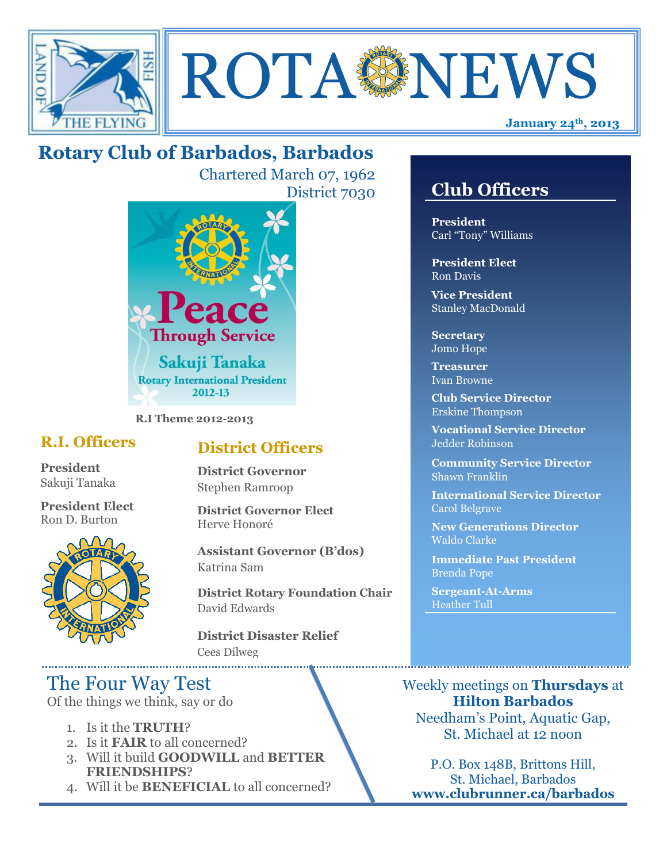



# **Rotary Club of Barbados, Barbados**

Chartered March 07, 1962 District 7030



**R.I Theme 2012-2013**

## **R.I. Officers**

**President**  Sakuji Tanaka

**President Elect** Ron D. Burton



## **District Officers**

**District Governor** Stephen Ramroop

**District Governor Elect** Herve Honoré

**Assistant Governor (B'dos)** Katrina Sam

**District Rotary Foundation Chair** David Edwards

**District Disaster Relief** Cees Dilweg

## The Four Way Test

Of the things we think, say or do

- 1. Is it the **TRUTH**?
- 2. Is it **FAIR** to all concerned?
- 3. Will it build **GOODWILL** and **BETTER FRIENDSHIPS**?
- 4. Will it be **BENEFICIAL** to all concerned?

## **Club Officers**

**Club Officers** 

**President** Carl "Tony" Williams

**President Elect** Ron Davis

**Vice President** Stanley MacDonald

**Secretary** Jomo Hope

**Treasurer** Ivan Browne

**Club Service Director** Erskine Thompson

**Vocational Service Director** Jedder Robinson

**Community Service Director** Shawn Franklin

**International Service Director** Carol Belgrave

**New Generations Director** Waldo Clarke

**Immediate Past President** Brenda Pope

**Sergeant-At-Arms** Heather Tull

Weekly meetings on **Thursdays** at **Hilton Barbados** Needham's Point, Aquatic Gap, St. Michael at 12 noon

P.O. Box 148B, Brittons Hill, St. Michael, Barbados **www.clubrunner.ca/barbados**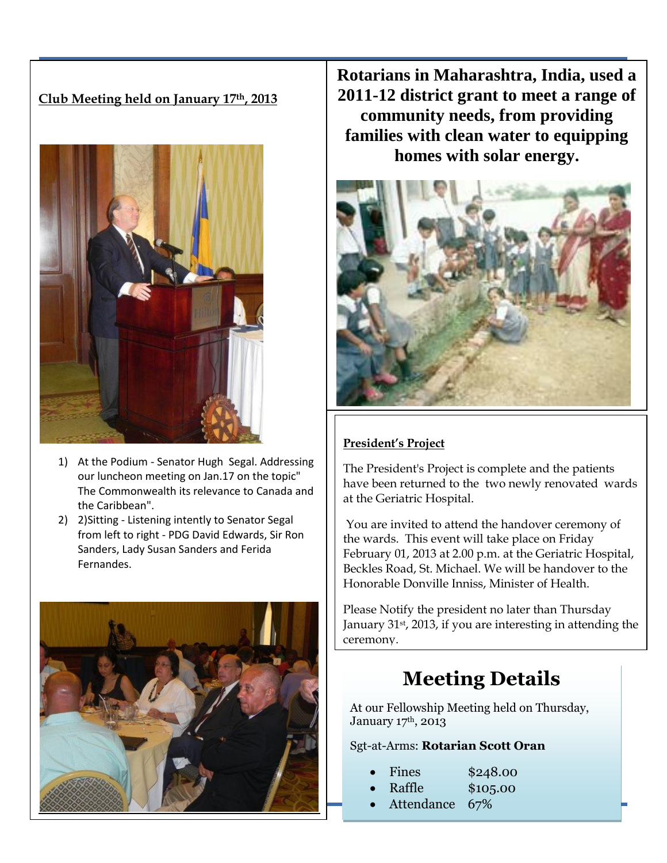### **Club Meeting held on January 17th, 2013**



- 1) At the Podium Senator Hugh Segal. Addressing our luncheon meeting on Jan.17 on the topic" The Commonwealth its relevance to Canada and the Caribbean".
- 2) 2)Sitting Listening intently to Senator Segal from left to right - PDG David Edwards, Sir Ron Sanders, Lady Susan Sanders and Ferida Fernandes.



**Rotarians in Maharashtra, India, used a 2011-12 district grant to meet a range of community needs, from providing families with clean water to equipping homes with solar energy.**



#### **President's Project**

The President's Project is complete and the patients have been returned to the two newly renovated wards at the Geriatric Hospital.

You are invited to attend the handover ceremony of the wards. This event will take place on Friday February 01, 2013 at 2.00 p.m. at the Geriatric Hospital, Beckles Road, St. Michael. We will be handover to the Honorable Donville Inniss, Minister of Health.

Please Notify the president no later than Thursday January 31st, 2013, if you are interesting in attending the ceremony.

# **Meeting Details**

At our Fellowship Meeting held on Thursday, January 17th, 2013

#### Sgt-at-Arms: **Rotarian Scott Oran**

| Fines | \$248.00 |
|-------|----------|
|-------|----------|

- Raffle \$105.00
- Attendance 67%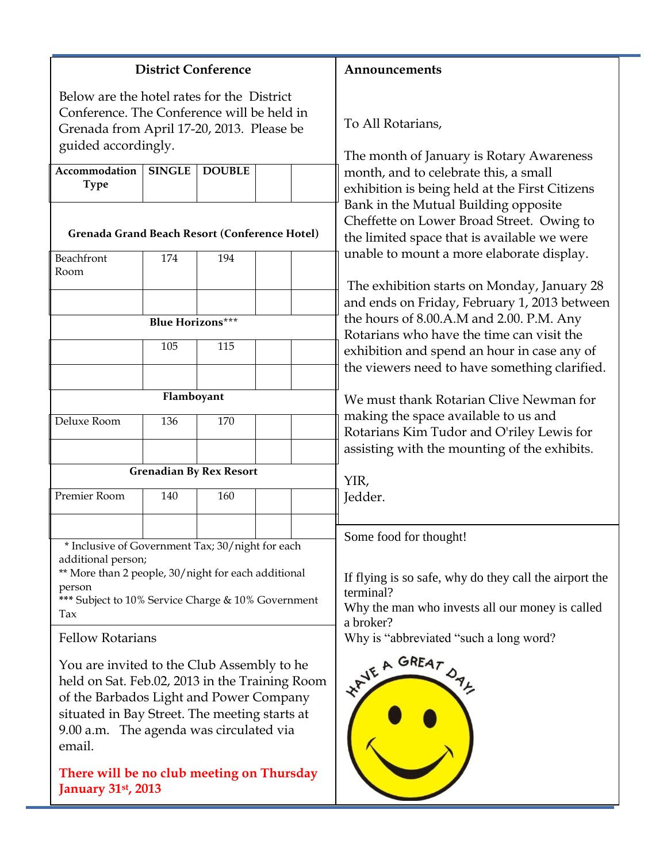|                                                                                          |               | <b>District Conference</b>                                          |                                                                                                                                  |
|------------------------------------------------------------------------------------------|---------------|---------------------------------------------------------------------|----------------------------------------------------------------------------------------------------------------------------------|
| Below are the hotel rates for the District                                               |               |                                                                     | Announcements                                                                                                                    |
| Conference. The Conference will be held in                                               |               |                                                                     |                                                                                                                                  |
| Grenada from April 17-20, 2013. Please be                                                |               |                                                                     | To All Rotarians,                                                                                                                |
| guided accordingly.                                                                      |               |                                                                     | The month of January is Rotary Awareness                                                                                         |
| Accommodation<br><b>Type</b>                                                             | <b>SINGLE</b> | <b>DOUBLE</b>                                                       | month, and to celebrate this, a small<br>exhibition is being held at the First Citizens                                          |
| Grenada Grand Beach Resort (Conference Hotel)                                            |               |                                                                     | Bank in the Mutual Building opposite<br>Cheffette on Lower Broad Street. Owing to<br>the limited space that is available we were |
| Beachfront                                                                               | 174           | 194                                                                 | unable to mount a more elaborate display.                                                                                        |
| Room                                                                                     |               |                                                                     | The exhibition starts on Monday, January 28                                                                                      |
|                                                                                          |               |                                                                     | and ends on Friday, February 1, 2013 between                                                                                     |
| <b>Blue Horizons***</b>                                                                  |               |                                                                     | the hours of 8.00.A.M and 2.00. P.M. Any<br>Rotarians who have the time can visit the                                            |
|                                                                                          | 105           | 115                                                                 | exhibition and spend an hour in case any of                                                                                      |
|                                                                                          |               |                                                                     | the viewers need to have something clarified.                                                                                    |
|                                                                                          | Flamboyant    |                                                                     | We must thank Rotarian Clive Newman for                                                                                          |
| Deluxe Room                                                                              | 136           | 170                                                                 | making the space available to us and                                                                                             |
|                                                                                          |               |                                                                     | Rotarians Kim Tudor and O'riley Lewis for                                                                                        |
|                                                                                          |               |                                                                     | assisting with the mounting of the exhibits.                                                                                     |
| <b>Grenadian By Rex Resort</b>                                                           |               | YIR,                                                                |                                                                                                                                  |
| Premier Room                                                                             | 140           | 160                                                                 | Jedder.                                                                                                                          |
|                                                                                          |               |                                                                     |                                                                                                                                  |
| * Inclusive of Government Tax; 30/night for each                                         |               |                                                                     | Some food for thought!                                                                                                           |
| additional person;                                                                       |               |                                                                     |                                                                                                                                  |
| ** More than 2 people, 30/night for each additional<br>person                            |               | If flying is so safe, why do they call the airport the<br>terminal? |                                                                                                                                  |
| *** Subject to 10% Service Charge & 10% Government<br>Tax                                |               | Why the man who invests all our money is called<br>a broker?        |                                                                                                                                  |
| <b>Fellow Rotarians</b>                                                                  |               |                                                                     | Why is "abbreviated "such a long word?                                                                                           |
| You are invited to the Club Assembly to he                                               |               | WAVE A GREAT DAL                                                    |                                                                                                                                  |
| held on Sat. Feb.02, 2013 in the Training Room                                           |               |                                                                     |                                                                                                                                  |
| of the Barbados Light and Power Company<br>situated in Bay Street. The meeting starts at |               |                                                                     |                                                                                                                                  |
| 9.00 a.m. The agenda was circulated via                                                  |               |                                                                     |                                                                                                                                  |
| email.                                                                                   |               |                                                                     |                                                                                                                                  |
| There will be no club meeting on Thursday                                                |               |                                                                     |                                                                                                                                  |
| <b>January 31st, 2013</b>                                                                |               |                                                                     |                                                                                                                                  |